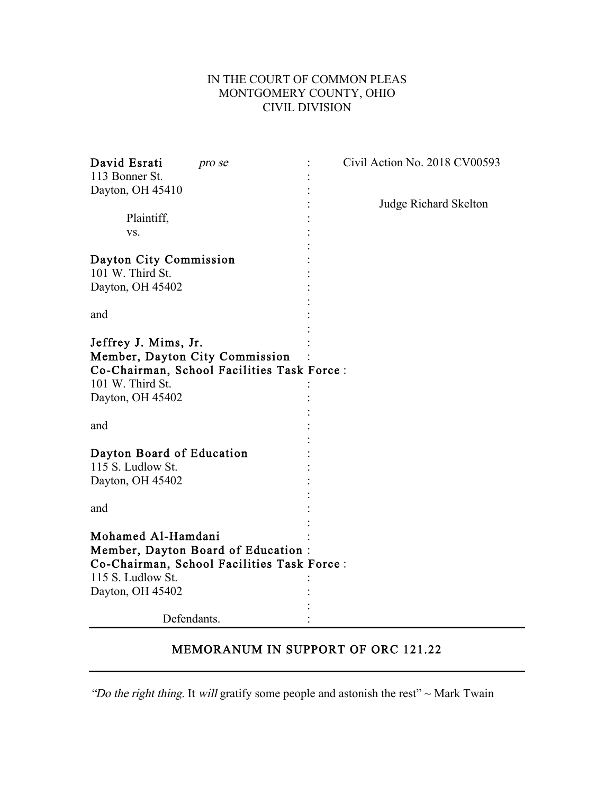## IN THE COURT OF COMMON PLEAS MONTGOMERY COUNTY, OHIO CIVIL DIVISION

| David Esrati<br>pro se<br>113 Bonner St.                                                                                                     | Civil Action No. 2018 CV00593 |
|----------------------------------------------------------------------------------------------------------------------------------------------|-------------------------------|
| Dayton, OH 45410                                                                                                                             | <b>Judge Richard Skelton</b>  |
| Plaintiff,                                                                                                                                   |                               |
| VS.                                                                                                                                          |                               |
| Dayton City Commission<br>101 W. Third St.                                                                                                   |                               |
| Dayton, OH 45402                                                                                                                             |                               |
| and                                                                                                                                          |                               |
| Jeffrey J. Mims, Jr.<br>Member, Dayton City Commission<br>Co-Chairman, School Facilities Task Force:<br>101 W. Third St.<br>Dayton, OH 45402 |                               |
| and                                                                                                                                          |                               |
| Dayton Board of Education<br>115 S. Ludlow St.<br>Dayton, OH 45402                                                                           |                               |
| and                                                                                                                                          |                               |
| Mohamed Al-Hamdani<br>Member, Dayton Board of Education:<br>Co-Chairman, School Facilities Task Force:                                       |                               |
| 115 S. Ludlow St.<br>Dayton, OH 45402                                                                                                        |                               |
| Defendants.                                                                                                                                  |                               |

## MEMORANUM IN SUPPORT OF ORC 121.22

"Do the right thing. It will gratify some people and astonish the rest"  $\sim$  Mark Twain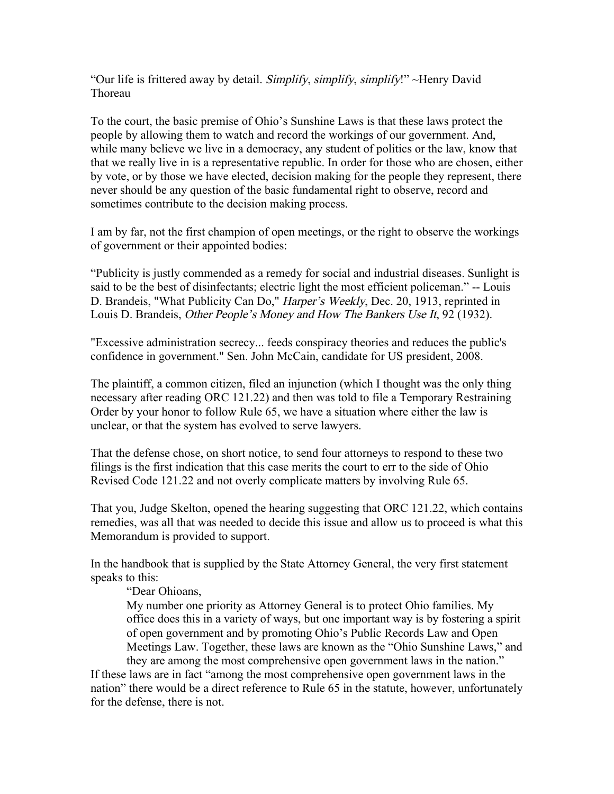"Our life is frittered away by detail. Simplify, simplify, simplify!"  $\sim$ Henry David Thoreau

To the court, the basic premise of Ohio's Sunshine Laws is that these laws protect the people by allowing them to watch and record the workings of our government. And, while many believe we live in a democracy, any student of politics or the law, know that that we really live in is a representative republic. In order for those who are chosen, either by vote, or by those we have elected, decision making for the people they represent, there never should be any question of the basic fundamental right to observe, record and sometimes contribute to the decision making process.

I am by far, not the first champion of open meetings, or the right to observe the workings of government or their appointed bodies:

"Publicity is justly commended as a remedy for social and industrial diseases. Sunlight is said to be the best of disinfectants; electric light the most efficient policeman." -- Louis D. Brandeis, "What Publicity Can Do," Harper's Weekly, Dec. 20, 1913, reprinted in Louis D. Brandeis, Other People's Money and How The Bankers Use It, 92 (1932).

"Excessive administration secrecy... feeds conspiracy theories and reduces the public's confidence in government." Sen. John McCain, candidate for US president, 2008.

The plaintiff, a common citizen, filed an injunction (which I thought was the only thing necessary after reading ORC 121.22) and then was told to file a Temporary Restraining Order by your honor to follow Rule 65, we have a situation where either the law is unclear, or that the system has evolved to serve lawyers.

That the defense chose, on short notice, to send four attorneys to respond to these two filings is the first indication that this case merits the court to err to the side of Ohio Revised Code 121.22 and not overly complicate matters by involving Rule 65.

That you, Judge Skelton, opened the hearing suggesting that ORC 121.22, which contains remedies, was all that was needed to decide this issue and allow us to proceed is what this Memorandum is provided to support.

In the handbook that is supplied by the State Attorney General, the very first statement speaks to this:

## "Dear Ohioans,

My number one priority as Attorney General is to protect Ohio families. My office does this in a variety of ways, but one important way is by fostering a spirit of open government and by promoting Ohio's Public Records Law and Open Meetings Law. Together, these laws are known as the "Ohio Sunshine Laws," and they are among the most comprehensive open government laws in the nation."

If these laws are in fact "among the most comprehensive open government laws in the nation" there would be a direct reference to Rule 65 in the statute, however, unfortunately for the defense, there is not.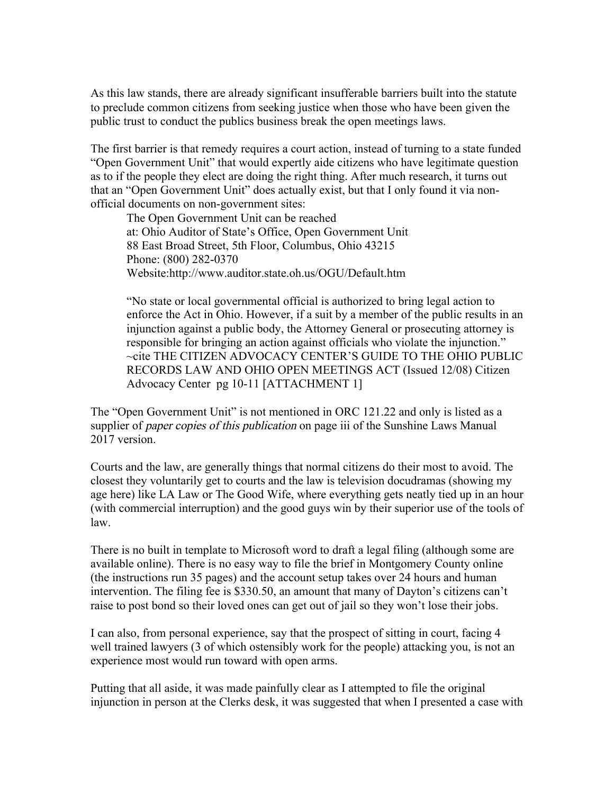As this law stands, there are already significant insufferable barriers built into the statute to preclude common citizens from seeking justice when those who have been given the public trust to conduct the publics business break the open meetings laws.

The first barrier is that remedy requires a court action, instead of turning to a state funded "Open Government Unit" that would expertly aide citizens who have legitimate question as to if the people they elect are doing the right thing. After much research, it turns out that an "Open Government Unit" does actually exist, but that I only found it via nonofficial documents on non-government sites:

The Open Government Unit can be reached at: Ohio Auditor of State's Office, Open Government Unit 88 East Broad Street, 5th Floor, Columbus, Ohio 43215 Phone: (800) 282-0370 Website:http://www.auditor.state.oh.us/OGU/Default.htm

"No state or local governmental official is authorized to bring legal action to enforce the Act in Ohio. However, if a suit by a member of the public results in an injunction against a public body, the Attorney General or prosecuting attorney is responsible for bringing an action against officials who violate the injunction." ~cite THE CITIZEN ADVOCACY CENTER'S GUIDE TO THE OHIO PUBLIC RECORDS LAW AND OHIO OPEN MEETINGS ACT (Issued 12/08) Citizen Advocacy Center pg 10-11 [ATTACHMENT 1]

The "Open Government Unit" is not mentioned in ORC 121.22 and only is listed as a supplier of *paper copies of this publication* on page iii of the Sunshine Laws Manual 2017 version.

Courts and the law, are generally things that normal citizens do their most to avoid. The closest they voluntarily get to courts and the law is television docudramas (showing my age here) like LA Law or The Good Wife, where everything gets neatly tied up in an hour (with commercial interruption) and the good guys win by their superior use of the tools of law.

There is no built in template to Microsoft word to draft a legal filing (although some are available online). There is no easy way to file the brief in Montgomery County online (the instructions run 35 pages) and the account setup takes over 24 hours and human intervention. The filing fee is \$330.50, an amount that many of Dayton's citizens can't raise to post bond so their loved ones can get out of jail so they won't lose their jobs.

I can also, from personal experience, say that the prospect of sitting in court, facing 4 well trained lawyers (3 of which ostensibly work for the people) attacking you, is not an experience most would run toward with open arms.

Putting that all aside, it was made painfully clear as I attempted to file the original injunction in person at the Clerks desk, it was suggested that when I presented a case with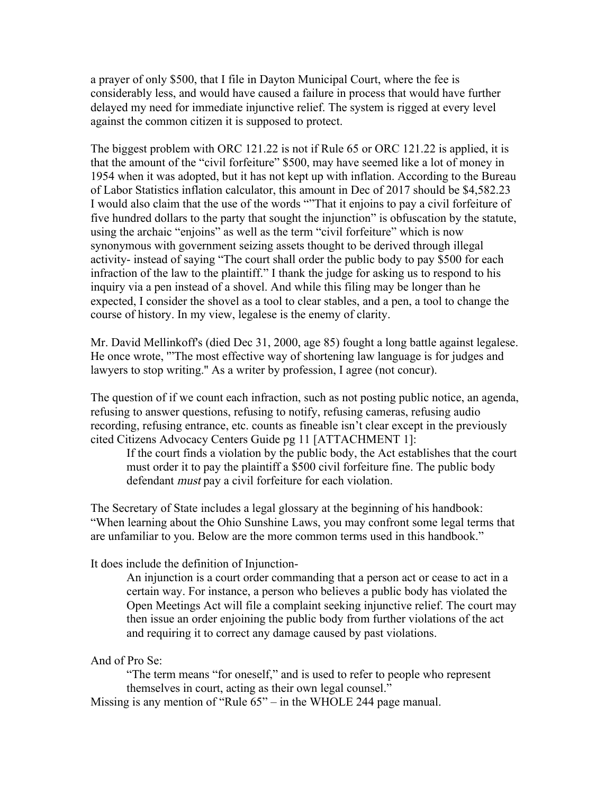a prayer of only \$500, that I file in Dayton Municipal Court, where the fee is considerably less, and would have caused a failure in process that would have further delayed my need for immediate injunctive relief. The system is rigged at every level against the common citizen it is supposed to protect.

The biggest problem with ORC 121.22 is not if Rule 65 or ORC 121.22 is applied, it is that the amount of the "civil forfeiture" \$500, may have seemed like a lot of money in 1954 when it was adopted, but it has not kept up with inflation. According to the Bureau of Labor Statistics inflation calculator, this amount in Dec of 2017 should be \$4,582.23 I would also claim that the use of the words ""That it enjoins to pay a civil forfeiture of five hundred dollars to the party that sought the injunction" is obfuscation by the statute, using the archaic "enjoins" as well as the term "civil forfeiture" which is now synonymous with government seizing assets thought to be derived through illegal activity- instead of saying "The court shall order the public body to pay \$500 for each infraction of the law to the plaintiff." I thank the judge for asking us to respond to his inquiry via a pen instead of a shovel. And while this filing may be longer than he expected, I consider the shovel as a tool to clear stables, and a pen, a tool to change the course of history. In my view, legalese is the enemy of clarity.

Mr. David Mellinkoff's (died Dec 31, 2000, age 85) fought a long battle against legalese. He once wrote, '"The most effective way of shortening law language is for judges and lawyers to stop writing.'' As a writer by profession, I agree (not concur).

The question of if we count each infraction, such as not posting public notice, an agenda, refusing to answer questions, refusing to notify, refusing cameras, refusing audio recording, refusing entrance, etc. counts as fineable isn't clear except in the previously cited Citizens Advocacy Centers Guide pg 11 [ATTACHMENT 1]:

If the court finds a violation by the public body, the Act establishes that the court must order it to pay the plaintiff a \$500 civil forfeiture fine. The public body defendant must pay a civil forfeiture for each violation.

The Secretary of State includes a legal glossary at the beginning of his handbook: "When learning about the Ohio Sunshine Laws, you may confront some legal terms that are unfamiliar to you. Below are the more common terms used in this handbook."

It does include the definition of Injunction-

An injunction is a court order commanding that a person act or cease to act in a certain way. For instance, a person who believes a public body has violated the Open Meetings Act will file a complaint seeking injunctive relief. The court may then issue an order enjoining the public body from further violations of the act and requiring it to correct any damage caused by past violations.

## And of Pro Se:

"The term means "for oneself," and is used to refer to people who represent themselves in court, acting as their own legal counsel."

Missing is any mention of "Rule 65" – in the WHOLE 244 page manual.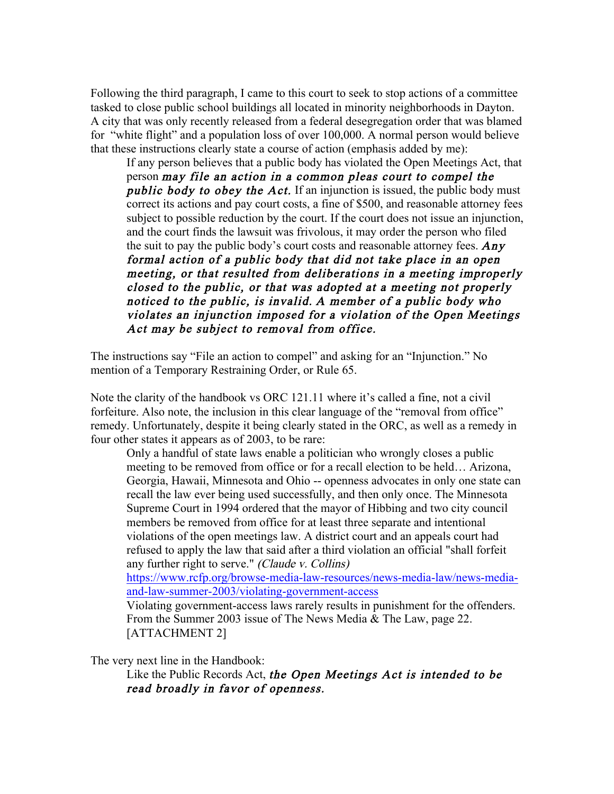Following the third paragraph, I came to this court to seek to stop actions of a committee tasked to close public school buildings all located in minority neighborhoods in Dayton. A city that was only recently released from a federal desegregation order that was blamed for "white flight" and a population loss of over 100,000. A normal person would believe that these instructions clearly state a course of action (emphasis added by me):

If any person believes that a public body has violated the Open Meetings Act, that person may file an action in a common pleas court to compel the public body to obey the Act. If an injunction is issued, the public body must correct its actions and pay court costs, a fine of \$500, and reasonable attorney fees subject to possible reduction by the court. If the court does not issue an injunction, and the court finds the lawsuit was frivolous, it may order the person who filed the suit to pay the public body's court costs and reasonable attorney fees.  $Any$ formal action of a public body that did not take place in an open meeting, or that resulted from deliberations in a meeting improperly closed to the public, or that was adopted at a meeting not properly noticed to the public, is invalid. A member of a public body who violates an injunction imposed for a violation of the Open Meetings Act may be subject to removal from office.

The instructions say "File an action to compel" and asking for an "Injunction." No mention of a Temporary Restraining Order, or Rule 65.

Note the clarity of the handbook vs ORC 121.11 where it's called a fine, not a civil forfeiture. Also note, the inclusion in this clear language of the "removal from office" remedy. Unfortunately, despite it being clearly stated in the ORC, as well as a remedy in four other states it appears as of 2003, to be rare:

Only a handful of state laws enable a politician who wrongly closes a public meeting to be removed from office or for a recall election to be held… Arizona, Georgia, Hawaii, Minnesota and Ohio -- openness advocates in only one state can recall the law ever being used successfully, and then only once. The Minnesota Supreme Court in 1994 ordered that the mayor of Hibbing and two city council members be removed from office for at least three separate and intentional violations of the open meetings law. A district court and an appeals court had refused to apply the law that said after a third violation an official "shall forfeit any further right to serve." (Claude v. Collins)

[https://www.rcfp.org/browse-media-law-resources/news-media-law/news-media](https://www.rcfp.org/browse-media-law-resources/news-media-law/news-media-and-law-summer-2003/violating-government-access)[and-law-summer-2003/violating-government-access](https://www.rcfp.org/browse-media-law-resources/news-media-law/news-media-and-law-summer-2003/violating-government-access)

Violating government-access laws rarely results in punishment for the offenders. From the Summer 2003 issue of The News Media & The Law, page 22. [ATTACHMENT 2]

The very next line in the Handbook:

Like the Public Records Act, the Open Meetings Act is intended to be read broadly in favor of openness.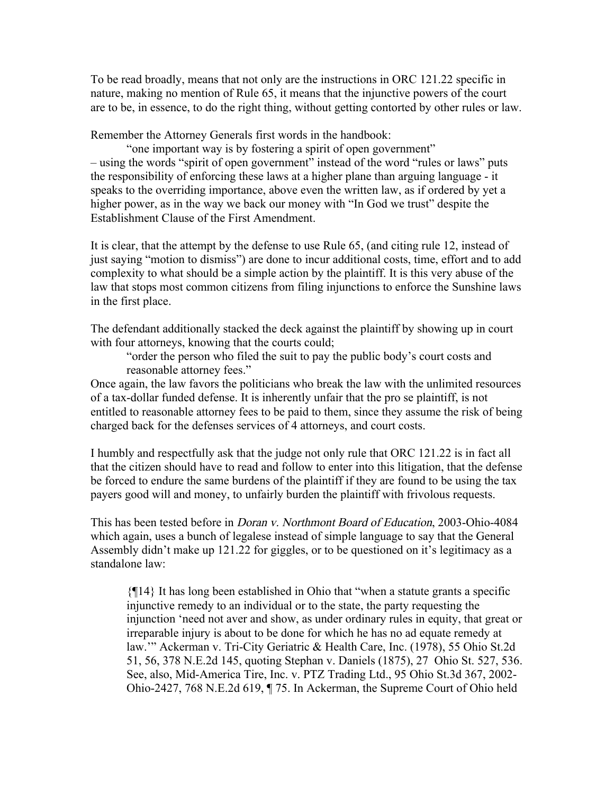To be read broadly, means that not only are the instructions in ORC 121.22 specific in nature, making no mention of Rule 65, it means that the injunctive powers of the court are to be, in essence, to do the right thing, without getting contorted by other rules or law.

Remember the Attorney Generals first words in the handbook:

"one important way is by fostering a spirit of open government" – using the words "spirit of open government" instead of the word "rules or laws" puts the responsibility of enforcing these laws at a higher plane than arguing language - it speaks to the overriding importance, above even the written law, as if ordered by yet a higher power, as in the way we back our money with "In God we trust" despite the Establishment Clause of the First Amendment.

It is clear, that the attempt by the defense to use Rule 65, (and citing rule 12, instead of just saying "motion to dismiss") are done to incur additional costs, time, effort and to add complexity to what should be a simple action by the plaintiff. It is this very abuse of the law that stops most common citizens from filing injunctions to enforce the Sunshine laws in the first place.

The defendant additionally stacked the deck against the plaintiff by showing up in court with four attorneys, knowing that the courts could;

"order the person who filed the suit to pay the public body's court costs and reasonable attorney fees."

Once again, the law favors the politicians who break the law with the unlimited resources of a tax-dollar funded defense. It is inherently unfair that the pro se plaintiff, is not entitled to reasonable attorney fees to be paid to them, since they assume the risk of being charged back for the defenses services of 4 attorneys, and court costs.

I humbly and respectfully ask that the judge not only rule that ORC 121.22 is in fact all that the citizen should have to read and follow to enter into this litigation, that the defense be forced to endure the same burdens of the plaintiff if they are found to be using the tax payers good will and money, to unfairly burden the plaintiff with frivolous requests.

This has been tested before in Doran v. Northmont Board of Education, 2003-Ohio-4084 which again, uses a bunch of legalese instead of simple language to say that the General Assembly didn't make up 121.22 for giggles, or to be questioned on it's legitimacy as a standalone law:

{¶14} It has long been established in Ohio that "when a statute grants a specific injunctive remedy to an individual or to the state, the party requesting the injunction 'need not aver and show, as under ordinary rules in equity, that great or irreparable injury is about to be done for which he has no ad equate remedy at law.'" Ackerman v. Tri-City Geriatric & Health Care, Inc. (1978), 55 Ohio St.2d 51, 56, 378 N.E.2d 145, quoting Stephan v. Daniels (1875), 27 Ohio St. 527, 536. See, also, Mid-America Tire, Inc. v. PTZ Trading Ltd., 95 Ohio St.3d 367, 2002- Ohio-2427, 768 N.E.2d 619, ¶ 75. In Ackerman, the Supreme Court of Ohio held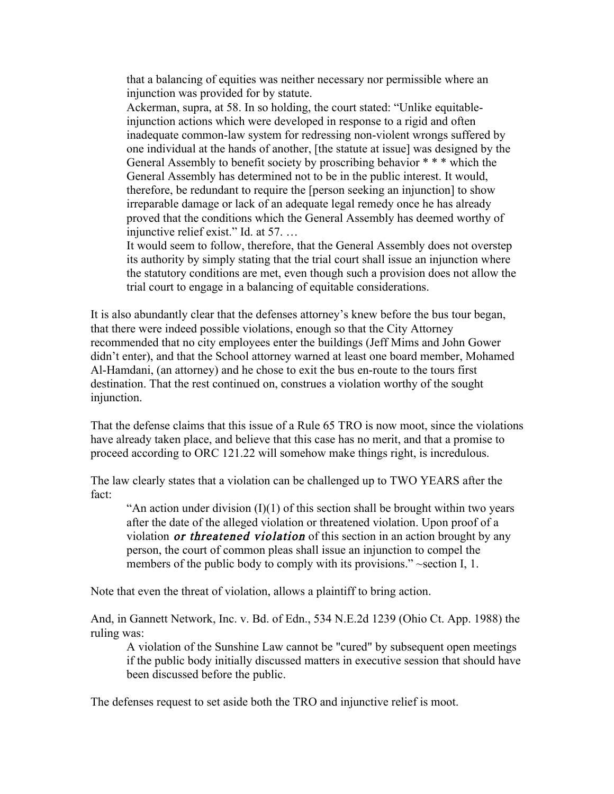that a balancing of equities was neither necessary nor permissible where an injunction was provided for by statute.

Ackerman, supra, at 58. In so holding, the court stated: "Unlike equitableinjunction actions which were developed in response to a rigid and often inadequate common-law system for redressing non-violent wrongs suffered by one individual at the hands of another, [the statute at issue] was designed by the General Assembly to benefit society by proscribing behavior \* \* \* which the General Assembly has determined not to be in the public interest. It would, therefore, be redundant to require the [person seeking an injunction] to show irreparable damage or lack of an adequate legal remedy once he has already proved that the conditions which the General Assembly has deemed worthy of injunctive relief exist." Id. at 57. …

It would seem to follow, therefore, that the General Assembly does not overstep its authority by simply stating that the trial court shall issue an injunction where the statutory conditions are met, even though such a provision does not allow the trial court to engage in a balancing of equitable considerations.

It is also abundantly clear that the defenses attorney's knew before the bus tour began, that there were indeed possible violations, enough so that the City Attorney recommended that no city employees enter the buildings (Jeff Mims and John Gower didn't enter), and that the School attorney warned at least one board member, Mohamed Al-Hamdani, (an attorney) and he chose to exit the bus en-route to the tours first destination. That the rest continued on, construes a violation worthy of the sought injunction.

That the defense claims that this issue of a Rule 65 TRO is now moot, since the violations have already taken place, and believe that this case has no merit, and that a promise to proceed according to ORC 121.22 will somehow make things right, is incredulous.

The law clearly states that a violation can be challenged up to TWO YEARS after the fact:

"An action under division  $(I)(1)$  of this section shall be brought within two years after the date of the alleged violation or threatened violation. Upon proof of a violation *or threatened violation* of this section in an action brought by any person, the court of common pleas shall issue an injunction to compel the members of the public body to comply with its provisions." ~section I, 1.

Note that even the threat of violation, allows a plaintiff to bring action.

And, in Gannett Network, Inc. v. Bd. of Edn., 534 N.E.2d 1239 (Ohio Ct. App. 1988) the ruling was:

A violation of the Sunshine Law cannot be "cured" by subsequent open meetings if the public body initially discussed matters in executive session that should have been discussed before the public.

The defenses request to set aside both the TRO and injunctive relief is moot.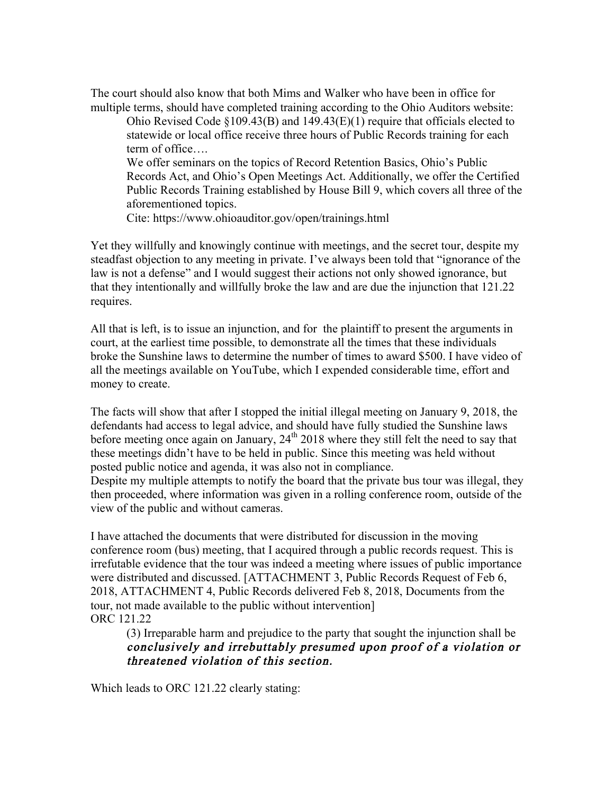The court should also know that both Mims and Walker who have been in office for multiple terms, should have completed training according to the Ohio Auditors website:

Ohio Revised Code §109.43(B) and 149.43(E)(1) require that officials elected to statewide or local office receive three hours of Public Records training for each term of office….

We offer seminars on the topics of Record Retention Basics, Ohio's Public Records Act, and Ohio's Open Meetings Act. Additionally, we offer the Certified Public Records Training established by House Bill 9, which covers all three of the aforementioned topics.

Cite: https://www.ohioauditor.gov/open/trainings.html

Yet they willfully and knowingly continue with meetings, and the secret tour, despite my steadfast objection to any meeting in private. I've always been told that "ignorance of the law is not a defense" and I would suggest their actions not only showed ignorance, but that they intentionally and willfully broke the law and are due the injunction that 121.22 requires.

All that is left, is to issue an injunction, and for the plaintiff to present the arguments in court, at the earliest time possible, to demonstrate all the times that these individuals broke the Sunshine laws to determine the number of times to award \$500. I have video of all the meetings available on YouTube, which I expended considerable time, effort and money to create.

The facts will show that after I stopped the initial illegal meeting on January 9, 2018, the defendants had access to legal advice, and should have fully studied the Sunshine laws before meeting once again on January,  $24<sup>th</sup> 2018$  where they still felt the need to say that these meetings didn't have to be held in public. Since this meeting was held without posted public notice and agenda, it was also not in compliance.

Despite my multiple attempts to notify the board that the private bus tour was illegal, they then proceeded, where information was given in a rolling conference room, outside of the view of the public and without cameras.

I have attached the documents that were distributed for discussion in the moving conference room (bus) meeting, that I acquired through a public records request. This is irrefutable evidence that the tour was indeed a meeting where issues of public importance were distributed and discussed. [ATTACHMENT 3, Public Records Request of Feb 6, 2018, ATTACHMENT 4, Public Records delivered Feb 8, 2018, Documents from the tour, not made available to the public without intervention] ORC 121.22

(3) Irreparable harm and prejudice to the party that sought the injunction shall be conclusively and irrebuttably presumed upon proof of a violation or threatened violation of this section.

Which leads to ORC 121.22 clearly stating: